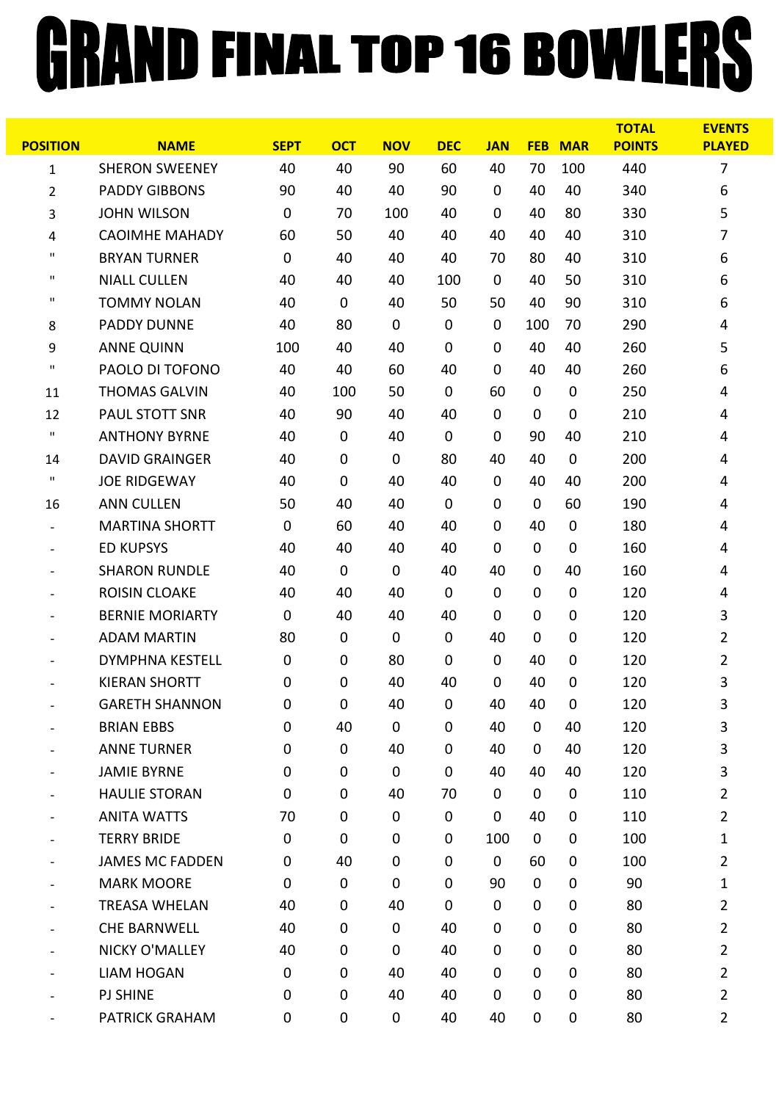## GRAND FINAL TOP 16 BOWLERS

|                              |                        |             |             |             |             |             |             |             | <b>TOTAL</b>  | <b>EVENTS</b>  |
|------------------------------|------------------------|-------------|-------------|-------------|-------------|-------------|-------------|-------------|---------------|----------------|
| <b>POSITION</b>              | <b>NAME</b>            | <b>SEPT</b> | <b>OCT</b>  | <b>NOV</b>  | <b>DEC</b>  | <b>JAN</b>  | <b>FEB</b>  | <b>MAR</b>  | <b>POINTS</b> | <b>PLAYED</b>  |
| $\mathbf{1}$                 | <b>SHERON SWEENEY</b>  | 40          | 40          | 90          | 60          | 40          | 70          | 100         | 440           | 7              |
| 2                            | <b>PADDY GIBBONS</b>   | 90          | 40          | 40          | 90          | $\mathbf 0$ | 40          | 40          | 340           | 6              |
| 3                            | <b>JOHN WILSON</b>     | $\mathbf 0$ | 70          | 100         | 40          | $\mathbf 0$ | 40          | 80          | 330           | 5              |
| 4                            | <b>CAOIMHE MAHADY</b>  | 60          | 50          | 40          | 40          | 40          | 40          | 40          | 310           | 7              |
| $\pmb{\mathsf{H}}$           | <b>BRYAN TURNER</b>    | $\mathbf 0$ | 40          | 40          | 40          | 70          | 80          | 40          | 310           | 6              |
| $\pmb{\mathsf{H}}$           | <b>NIALL CULLEN</b>    | 40          | 40          | 40          | 100         | $\mathbf 0$ | 40          | 50          | 310           | 6              |
| $\mathbf{H}$                 | <b>TOMMY NOLAN</b>     | 40          | $\pmb{0}$   | 40          | 50          | 50          | 40          | 90          | 310           | 6              |
| 8                            | <b>PADDY DUNNE</b>     | 40          | 80          | $\mathbf 0$ | $\mathbf 0$ | $\mathbf 0$ | 100         | 70          | 290           | 4              |
| 9                            | <b>ANNE QUINN</b>      | 100         | 40          | 40          | $\mathbf 0$ | $\mathbf 0$ | 40          | 40          | 260           | 5              |
| $\mathbf{H}$                 | PAOLO DI TOFONO        | 40          | 40          | 60          | 40          | $\mathbf 0$ | 40          | 40          | 260           | 6              |
| 11                           | <b>THOMAS GALVIN</b>   | 40          | 100         | 50          | $\mathbf 0$ | 60          | 0           | $\mathbf 0$ | 250           | 4              |
| 12                           | PAUL STOTT SNR         | 40          | 90          | 40          | 40          | $\mathbf 0$ | $\mathbf 0$ | $\mathbf 0$ | 210           | 4              |
| $\mathbf H$                  | <b>ANTHONY BYRNE</b>   | 40          | $\mathbf 0$ | 40          | $\mathbf 0$ | $\mathbf 0$ | 90          | 40          | 210           | 4              |
| 14                           | <b>DAVID GRAINGER</b>  | 40          | $\pmb{0}$   | $\mathbf 0$ | 80          | 40          | 40          | $\mathbf 0$ | 200           | 4              |
| $\mathbf{H}$                 | <b>JOE RIDGEWAY</b>    | 40          | $\mathbf 0$ | 40          | 40          | $\mathbf 0$ | 40          | 40          | 200           | 4              |
| 16                           | <b>ANN CULLEN</b>      | 50          | 40          | 40          | $\mathbf 0$ | $\mathbf 0$ | 0           | 60          | 190           | 4              |
|                              | <b>MARTINA SHORTT</b>  | $\mathbf 0$ | 60          | 40          | 40          | $\mathbf 0$ | 40          | 0           | 180           | 4              |
| $\qquad \qquad \blacksquare$ | <b>ED KUPSYS</b>       | 40          | 40          | 40          | 40          | $\mathbf 0$ | $\mathbf 0$ | $\mathbf 0$ | 160           | 4              |
|                              | <b>SHARON RUNDLE</b>   | 40          | 0           | $\mathbf 0$ | 40          | 40          | $\mathbf 0$ | 40          | 160           | 4              |
|                              | <b>ROISIN CLOAKE</b>   | 40          | 40          | 40          | $\mathbf 0$ | $\mathbf 0$ | $\mathbf 0$ | $\mathbf 0$ | 120           | 4              |
|                              | <b>BERNIE MORIARTY</b> | $\mathbf 0$ | 40          | 40          | 40          | $\mathbf 0$ | $\mathbf 0$ | $\mathbf 0$ | 120           | 3              |
|                              | <b>ADAM MARTIN</b>     | 80          | $\mathbf 0$ | $\mathbf 0$ | $\mathbf 0$ | 40          | $\mathbf 0$ | 0           | 120           | $\overline{2}$ |
|                              | <b>DYMPHNA KESTELL</b> | $\mathbf 0$ | $\mathbf 0$ | 80          | $\mathbf 0$ | $\mathbf 0$ | 40          | 0           | 120           | 2              |
|                              | <b>KIERAN SHORTT</b>   | 0           | $\mathbf 0$ | 40          | 40          | 0           | 40          | 0           | 120           | 3              |
|                              | <b>GARETH SHANNON</b>  | 0           | 0           | 40          | $\mathbf 0$ | 40          | 40          | 0           | 120           | 3              |
|                              | <b>BRIAN EBBS</b>      | 0           | 40          | $\mathbf 0$ | $\mathbf 0$ | 40          | 0           | 40          | 120           | 3              |
|                              | <b>ANNE TURNER</b>     | $\mathbf 0$ | $\pmb{0}$   | 40          | $\mathbf 0$ | 40          | $\mathbf 0$ | 40          | 120           | 3              |
|                              | <b>JAMIE BYRNE</b>     | $\mathbf 0$ | $\pmb{0}$   | $\mathbf 0$ | $\mathbf 0$ | 40          | 40          | 40          | 120           | 3              |
|                              | <b>HAULIE STORAN</b>   | $\mathbf 0$ | 0           | 40          | 70          | $\mathbf 0$ | $\mathbf 0$ | 0           | 110           | $\overline{2}$ |
|                              | <b>ANITA WATTS</b>     | 70          | 0           | $\mathbf 0$ | 0           | $\mathbf 0$ | 40          | 0           | 110           | $\overline{2}$ |
|                              | <b>TERRY BRIDE</b>     | $\mathbf 0$ | $\pmb{0}$   | $\mathbf 0$ | $\mathbf 0$ | 100         | $\mathbf 0$ | 0           | 100           | 1              |
|                              | <b>JAMES MC FADDEN</b> | 0           | 40          | $\mathbf 0$ | $\mathbf 0$ | $\mathbf 0$ | 60          | 0           | 100           | $\overline{2}$ |
|                              | <b>MARK MOORE</b>      | $\mathbf 0$ | $\pmb{0}$   | $\mathbf 0$ | $\mathbf 0$ | 90          | $\mathbf 0$ | $\mathbf 0$ | 90            | 1              |
|                              | <b>TREASA WHELAN</b>   | 40          | $\mathbf 0$ | 40          | $\mathbf 0$ | $\mathbf 0$ | $\mathbf 0$ | 0           | 80            | $\overline{2}$ |
|                              | <b>CHE BARNWELL</b>    | 40          | $\pmb{0}$   | $\mathbf 0$ | 40          | $\mathbf 0$ | $\mathbf 0$ | 0           | 80            | $\overline{2}$ |
|                              | NICKY O'MALLEY         | 40          | 0           | $\mathbf 0$ | 40          | 0           | $\mathbf 0$ | 0           | 80            | $\overline{2}$ |
|                              | <b>LIAM HOGAN</b>      | 0           | 0           | 40          | 40          | 0           | $\mathbf 0$ | 0           | 80            | $\overline{2}$ |
|                              | <b>PJ SHINE</b>        | $\mathbf 0$ | $\pmb{0}$   | 40          | 40          | 0           | $\mathbf 0$ | 0           | 80            | $\overline{2}$ |
|                              | PATRICK GRAHAM         | 0           | $\pmb{0}$   | 0           | 40          | 40          | 0           | 0           | 80            | $\overline{2}$ |
|                              |                        |             |             |             |             |             |             |             |               |                |